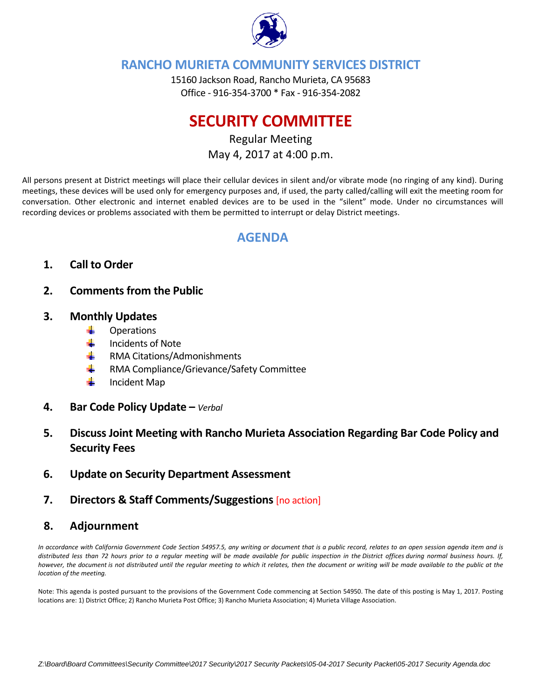

# **RANCHO MURIETA COMMUNITY SERVICES DISTRICT**

15160 Jackson Road, Rancho Murieta, CA 95683 Office ‐ 916‐354‐3700 \* Fax ‐ 916‐354‐2082

# **SECURITY COMMITTEE**

Regular Meeting May 4, 2017 at 4:00 p.m.

All persons present at District meetings will place their cellular devices in silent and/or vibrate mode (no ringing of any kind). During meetings, these devices will be used only for emergency purposes and, if used, the party called/calling will exit the meeting room for conversation. Other electronic and internet enabled devices are to be used in the "silent" mode. Under no circumstances will recording devices or problems associated with them be permitted to interrupt or delay District meetings.

# **AGENDA**

# **1. Call to Order**

- **2. Comments from the Public**
- **3. Monthly Updates** 
	- ÷ **Operations**
	- sing and Incidents of Note
	- ÷ RMA Citations/Admonishments
	- RMA Compliance/Grievance/Safety Committee
	- ÷ Incident Map
- **4. Bar Code Policy Update –** *Verbal*
- **5. Discuss Joint Meeting with Rancho Murieta Association Regarding Bar Code Policy and Security Fees**
- **6. Update on Security Department Assessment**
- **7. Directors & Staff Comments/Suggestions** [no action]

## **8. Adjournment**

In accordance with California Government Code Section 54957.5, any writing or document that is a public record, relates to an open session agenda item and is distributed less than 72 hours prior to a regular meeting will be made available for public inspection in the District offices during normal business hours. If, however, the document is not distributed until the regular meeting to which it relates, then the document or writing will be made available to the public at the *location of the meeting.* 

Note: This agenda is posted pursuant to the provisions of the Government Code commencing at Section 54950. The date of this posting is May 1, 2017. Posting locations are: 1) District Office; 2) Rancho Murieta Post Office; 3) Rancho Murieta Association; 4) Murieta Village Association.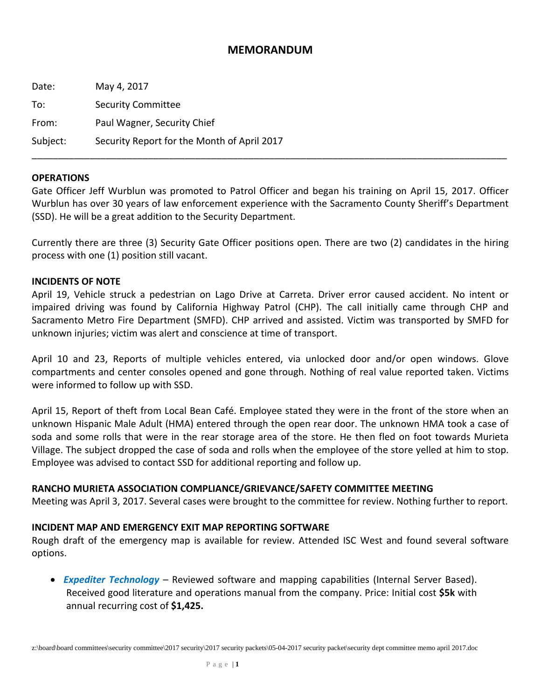### **MEMORANDUM**

| Date:    | May 4, 2017                                 |
|----------|---------------------------------------------|
| To:      | <b>Security Committee</b>                   |
| From:    | Paul Wagner, Security Chief                 |
| Subject: | Security Report for the Month of April 2017 |

#### **OPERATIONS**

Gate Officer Jeff Wurblun was promoted to Patrol Officer and began his training on April 15, 2017. Officer Wurblun has over 30 years of law enforcement experience with the Sacramento County Sheriff's Department (SSD). He will be a great addition to the Security Department.

\_\_\_\_\_\_\_\_\_\_\_\_\_\_\_\_\_\_\_\_\_\_\_\_\_\_\_\_\_\_\_\_\_\_\_\_\_\_\_\_\_\_\_\_\_\_\_\_\_\_\_\_\_\_\_\_\_\_\_\_\_\_\_\_\_\_\_\_\_\_\_\_\_\_\_\_\_\_\_\_\_\_\_\_\_\_\_\_\_\_

Currently there are three (3) Security Gate Officer positions open. There are two (2) candidates in the hiring process with one (1) position still vacant.

#### **INCIDENTS OF NOTE**

April 19, Vehicle struck a pedestrian on Lago Drive at Carreta. Driver error caused accident. No intent or impaired driving was found by California Highway Patrol (CHP). The call initially came through CHP and Sacramento Metro Fire Department (SMFD). CHP arrived and assisted. Victim was transported by SMFD for unknown injuries; victim was alert and conscience at time of transport.

April 10 and 23, Reports of multiple vehicles entered, via unlocked door and/or open windows. Glove compartments and center consoles opened and gone through. Nothing of real value reported taken. Victims were informed to follow up with SSD.

April 15, Report of theft from Local Bean Café. Employee stated they were in the front of the store when an unknown Hispanic Male Adult (HMA) entered through the open rear door. The unknown HMA took a case of soda and some rolls that were in the rear storage area of the store. He then fled on foot towards Murieta Village. The subject dropped the case of soda and rolls when the employee of the store yelled at him to stop. Employee was advised to contact SSD for additional reporting and follow up.

### **RANCHO MURIETA ASSOCIATION COMPLIANCE/GRIEVANCE/SAFETY COMMITTEE MEETING**

Meeting was April 3, 2017. Several cases were brought to the committee for review. Nothing further to report.

#### **INCIDENT MAP AND EMERGENCY EXIT MAP REPORTING SOFTWARE**

Rough draft of the emergency map is available for review. Attended ISC West and found several software options.

 *Expediter Technology* – Reviewed software and mapping capabilities (Internal Server Based). Received good literature and operations manual from the company. Price: Initial cost **\$5k** with annual recurring cost of **\$1,425.**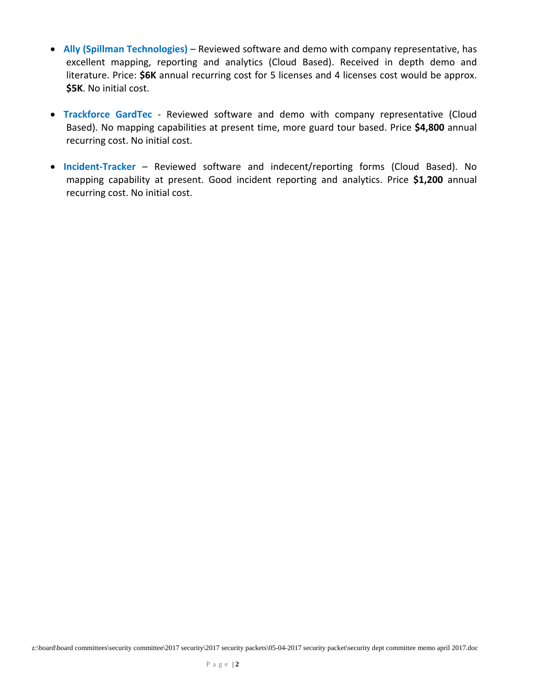- **Ally (Spillman Technologies)** Reviewed software and demo with company representative, has excellent mapping, reporting and analytics (Cloud Based). Received in depth demo and literature. Price: **\$6K** annual recurring cost for 5 licenses and 4 licenses cost would be approx. **\$5K**. No initial cost.
- **Trackforce GardTec** Reviewed software and demo with company representative (Cloud Based). No mapping capabilities at present time, more guard tour based. Price **\$4,800** annual recurring cost. No initial cost.
- **Incident‐Tracker** Reviewed software and indecent/reporting forms (Cloud Based). No mapping capability at present. Good incident reporting and analytics. Price **\$1,200** annual recurring cost. No initial cost.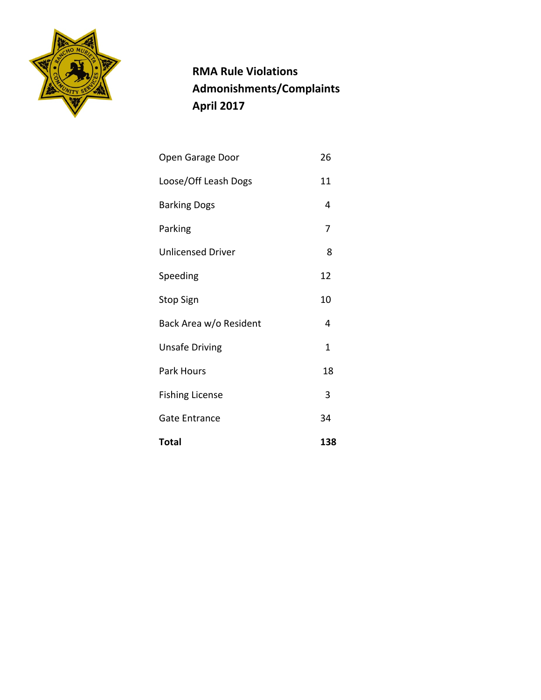

 **RMA Rule Violations Admonishments/Complaints April 2017**

| <b>Total</b>             | 138 |
|--------------------------|-----|
| <b>Gate Entrance</b>     | 34  |
| <b>Fishing License</b>   | 3   |
| Park Hours               | 18  |
| <b>Unsafe Driving</b>    | 1   |
| Back Area w/o Resident   | 4   |
| <b>Stop Sign</b>         | 10  |
| Speeding                 | 12  |
| <b>Unlicensed Driver</b> | 8   |
| Parking                  | 7   |
| <b>Barking Dogs</b>      | 4   |
| Loose/Off Leash Dogs     | 11  |
| Open Garage Door         | 26  |